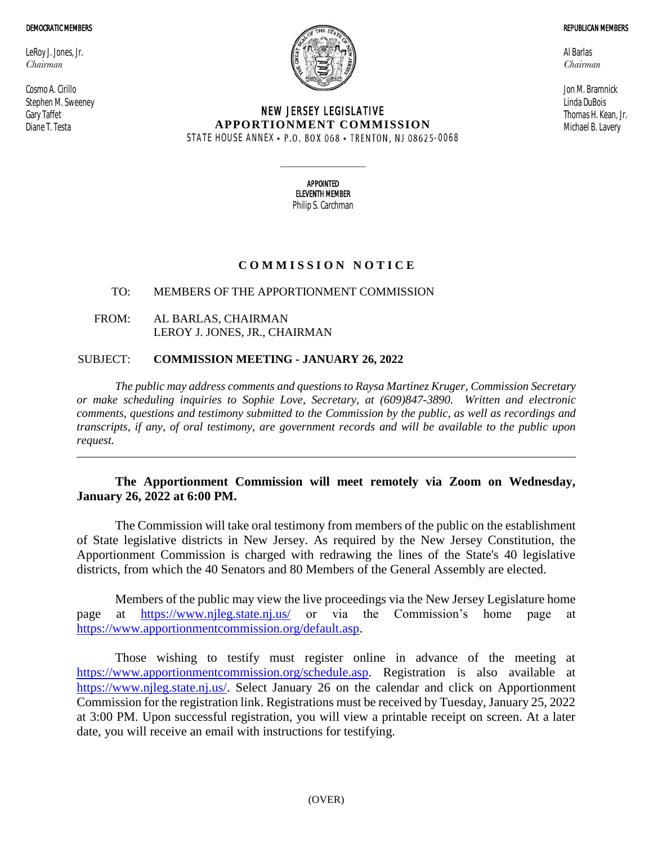#### DEMOCRATIC MEMBERS

LeRoy J. Jones, Jr. *Chairman*

Cosmo A. Cirillo Stephen M. Sweeney Gary Taffet Diane T. Testa



### NEW JERSEY LEGISLATIVE **APPORTIONMENT COMMISSION** STATE HOUSE ANNEX • P.O. BOX 068 • TRENTON, NJ 08625-0068

Al Barlas *Chairman*

Jon M. Bramnick Linda DuBois Thomas H. Kean, Jr. Michael B. Lavery

REPUBLICAN MEMBERS

APPOINTED ELEVENTH MEMBER Philip S. Carchman

 $\_$ 

## **C O M M I S S I O N N O T I C E**

### TO: MEMBERS OF THE APPORTIONMENT COMMISSION

FROM: AL BARLAS, CHAIRMAN LEROY J. JONES, JR., CHAIRMAN

### SUBJECT: **COMMISSION MEETING - JANUARY 26, 2022**

*The public may address comments and questions to Raysa Martinez Kruger, Commission Secretary or make scheduling inquiries to Sophie Love, Secretary, at (609)847-3890. Written and electronic comments, questions and testimony submitted to the Commission by the public, as well as recordings and transcripts, if any, of oral testimony, are government records and will be available to the public upon request.*

# **The Apportionment Commission will meet remotely via Zoom on Wednesday, January 26, 2022 at 6:00 PM.**

The Commission will take oral testimony from members of the public on the establishment of State legislative districts in New Jersey. As required by the New Jersey Constitution, the Apportionment Commission is charged with redrawing the lines of the State's 40 legislative districts, from which the 40 Senators and 80 Members of the General Assembly are elected.

Members of the public may view the live proceedings via the New Jersey Legislature home page at <https://www.njleg.state.nj.us/> or via the Commission's home page at [https://www.apportionmentcommission.org/default.asp.](https://www.apportionmentcommission.org/default.asp)

Those wishing to testify must register online in advance of the meeting at [https://www.apportionmentcommission.org/schedule.asp.](https://www.apportionmentcommission.org/schedule.asp) Registration is also available at [https://www.njleg.state.nj.us/.](https://www.njleg.state.nj.us/) Select January 26 on the calendar and click on Apportionment Commission for the registration link. Registrations must be received by Tuesday, January 25, 2022 at 3:00 PM. Upon successful registration, you will view a printable receipt on screen. At a later date, you will receive an email with instructions for testifying.